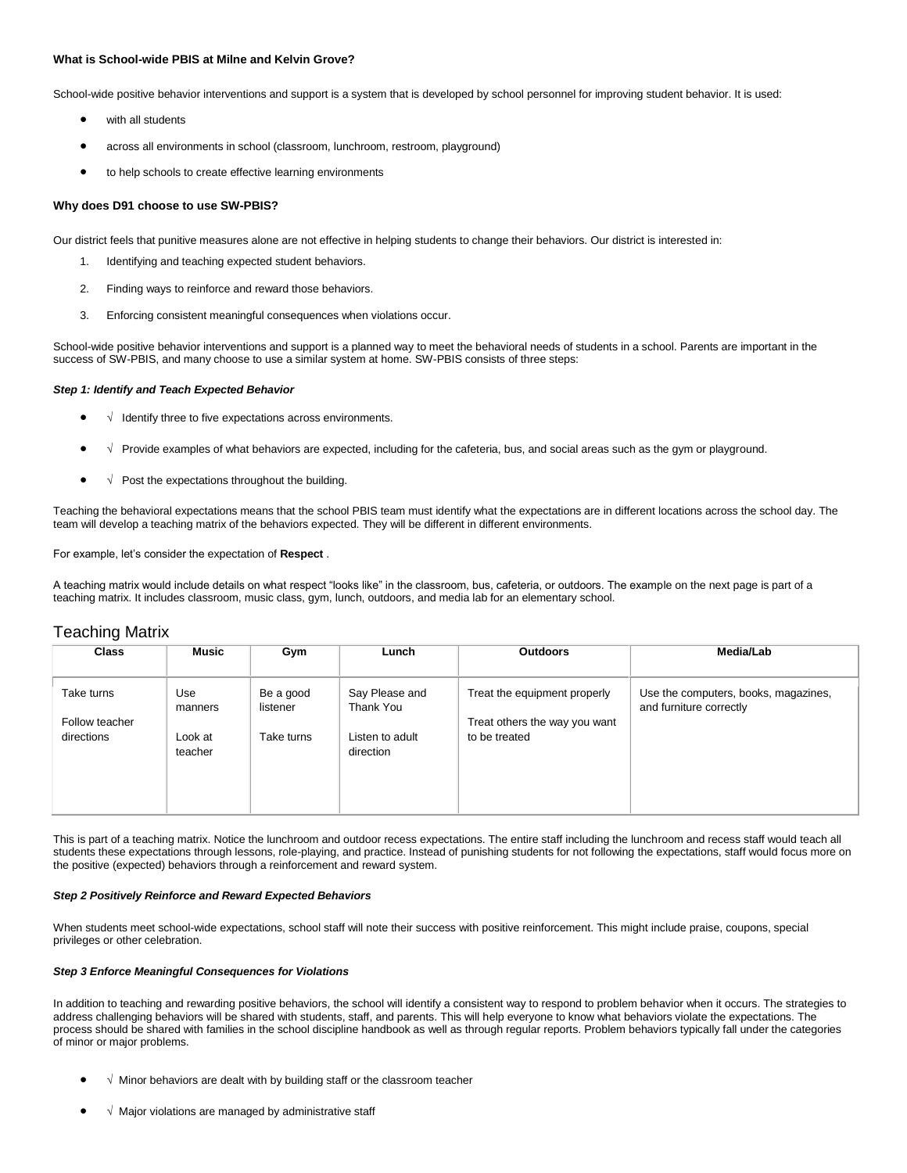# **What is School-wide PBIS at Milne and Kelvin Grove?**

School-wide positive behavior interventions and support is a system that is developed by school personnel for improving student behavior. It is used:

- with all students
- across all environments in school (classroom, lunchroom, restroom, playground)
- to help schools to create effective learning environments

### **Why does D91 choose to use SW-PBIS?**

Our district feels that punitive measures alone are not effective in helping students to change their behaviors. Our district is interested in:

- 1. Identifying and teaching expected student behaviors.
- 2. Finding ways to reinforce and reward those behaviors.
- 3. Enforcing consistent meaningful consequences when violations occur.

School-wide positive behavior interventions and support is a planned way to meet the behavioral needs of students in a school. Parents are important in the success of SW-PBIS, and many choose to use a similar system at home. SW-PBIS consists of three steps:

## *Step 1: Identify and Teach Expected Behavior*

- √ Identify three to five expectations across environments.
- √ Provide examples of what behaviors are expected, including for the cafeteria, bus, and social areas such as the gym or playground.
- $\bullet$   $\sqrt{\phantom{a}}$  Post the expectations throughout the building.

Teaching the behavioral expectations means that the school PBIS team must identify what the expectations are in different locations across the school day. The team will develop a teaching matrix of the behaviors expected. They will be different in different environments.

For example, let's consider the expectation of **Respect** .

A teaching matrix would include details on what respect "looks like" in the classroom, bus, cafeteria, or outdoors. The example on the next page is part of a teaching matrix. It includes classroom, music class, gym, lunch, outdoors, and media lab for an elementary school.

# Teaching Matrix

| Music   | Gym            | Lunch                   | <b>Outdoors</b>                   | Media/Lab                                                                      |
|---------|----------------|-------------------------|-----------------------------------|--------------------------------------------------------------------------------|
|         |                |                         |                                   |                                                                                |
| manners | listener       | Thank You               |                                   | Use the computers, books, magazines,<br>and furniture correctly                |
|         |                |                         |                                   |                                                                                |
| teacher |                | direction               |                                   |                                                                                |
|         |                |                         |                                   |                                                                                |
|         |                |                         |                                   |                                                                                |
|         | Use<br>Look at | Be a good<br>Take turns | Say Please and<br>Listen to adult | Treat the equipment properly<br>Treat others the way you want<br>to be treated |

This is part of a teaching matrix. Notice the lunchroom and outdoor recess expectations. The entire staff including the lunchroom and recess staff would teach all students these expectations through lessons, role-playing, and practice. Instead of punishing students for not following the expectations, staff would focus more on the positive (expected) behaviors through a reinforcement and reward system.

## *Step 2 Positively Reinforce and Reward Expected Behaviors*

When students meet school-wide expectations, school staff will note their success with positive reinforcement. This might include praise, coupons, special privileges or other celebration.

## *Step 3 Enforce Meaningful Consequences for Violations*

In addition to teaching and rewarding positive behaviors, the school will identify a consistent way to respond to problem behavior when it occurs. The strategies to address challenging behaviors will be shared with students, staff, and parents. This will help everyone to know what behaviors violate the expectations. The process should be shared with families in the school discipline handbook as well as through regular reports. Problem behaviors typically fall under the categories of minor or major problems.

- $\sqrt{ }$  Minor behaviors are dealt with by building staff or the classroom teacher
- √ Major violations are managed by administrative staff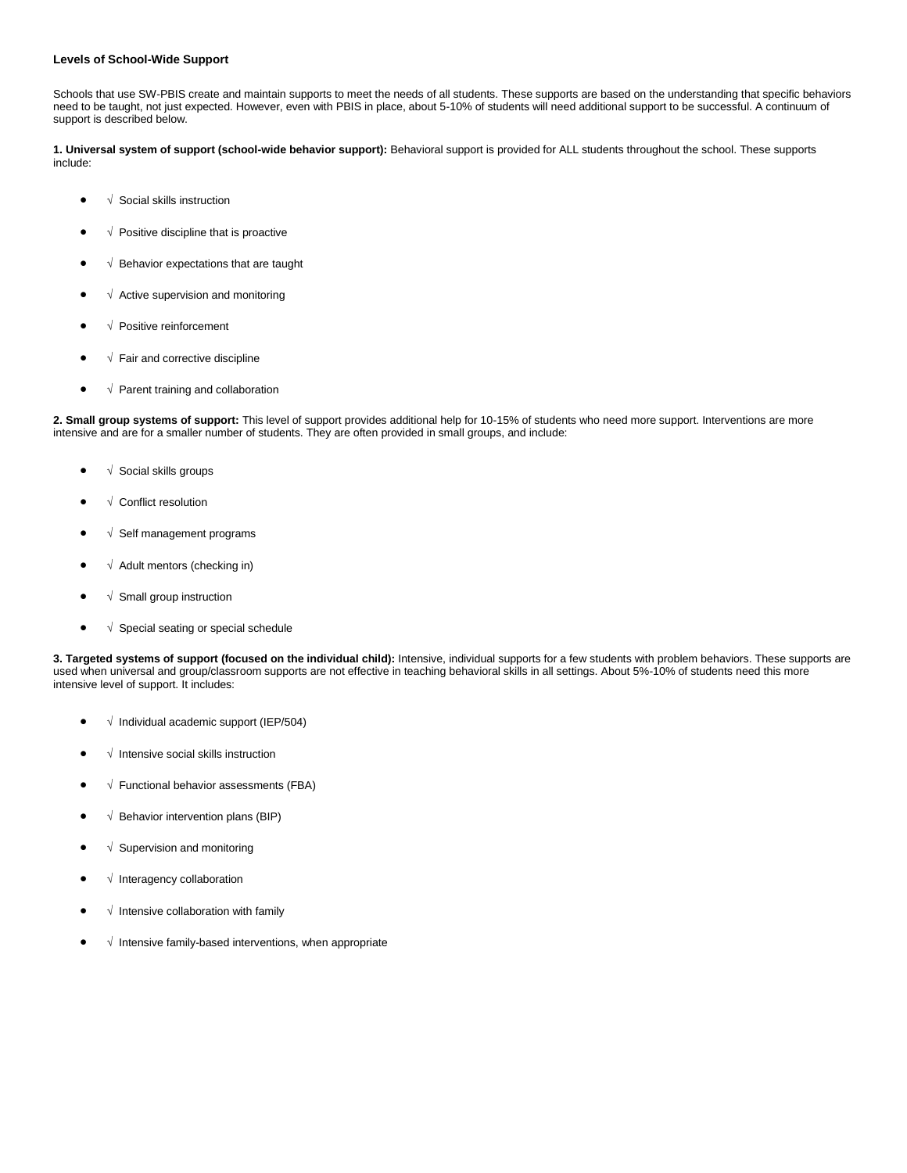# **Levels of School-Wide Support**

Schools that use SW-PBIS create and maintain supports to meet the needs of all students. These supports are based on the understanding that specific behaviors need to be taught, not just expected. However, even with PBIS in place, about 5-10% of students will need additional support to be successful. A continuum of support is described below.

**1. Universal system of support (school-wide behavior support):** Behavioral support is provided for ALL students throughout the school. These supports include:

- √ Social skills instruction
- √ Positive discipline that is proactive
- √ Behavior expectations that are taught
- √ Active supervision and monitoring
- √ Positive reinforcement
- √ Fair and corrective discipline
- √ Parent training and collaboration

**2. Small group systems of support:** This level of support provides additional help for 10-15% of students who need more support. Interventions are more intensive and are for a smaller number of students. They are often provided in small groups, and include:

- √ Social skills groups
- √ Conflict resolution
- √ Self management programs
- $\bullet$   $\sqrt{\phantom{a}}$  Adult mentors (checking in)
- $\bullet$   $\sqrt{\ }$  Small group instruction
- √ Special seating or special schedule

**3. Targeted systems of support (focused on the individual child):** Intensive, individual supports for a few students with problem behaviors. These supports are used when universal and group/classroom supports are not effective in teaching behavioral skills in all settings. About 5%-10% of students need this more intensive level of support. It includes:

- √ Individual academic support (IEP/504)
- √ Intensive social skills instruction
- √ Functional behavior assessments (FBA)
- √ Behavior intervention plans (BIP)
- √ Supervision and monitoring
- √ Interagency collaboration
- √ Intensive collaboration with family
- √ Intensive family-based interventions, when appropriate